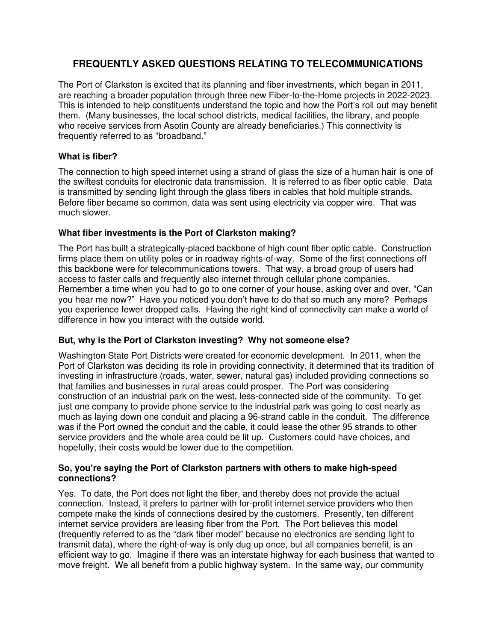## **FREQUENTLY ASKED QUESTIONS RELATING TO TELECOMMUNICATIONS**

The Port of Clarkston is excited that its planning and fiber investments, which began in 2011, are reaching a broader population through three new Fiber-to-the-Home projects in 2022-2023. This is intended to help constituents understand the topic and how the Port's roll out may benefit them. (Many businesses, the local school districts, medical facilities, the library, and people who receive services from Asotin County are already beneficiaries.) This connectivity is frequently referred to as "broadband."

## **What is fiber?**

The connection to high speed internet using a strand of glass the size of a human hair is one of the swiftest conduits for electronic data transmission. It is referred to as fiber optic cable. Data is transmitted by sending light through the glass fibers in cables that hold multiple strands. Before fiber became so common, data was sent using electricity via copper wire. That was much slower.

## **What fiber investments is the Port of Clarkston making?**

The Port has built a strategically-placed backbone of high count fiber optic cable. Construction firms place them on utility poles or in roadway rights-of-way. Some of the first connections off this backbone were for telecommunications towers. That way, a broad group of users had access to faster calls and frequently also internet through cellular phone companies. Remember a time when you had to go to one corner of your house, asking over and over, "Can you hear me now?" Have you noticed you don't have to do that so much any more? Perhaps you experience fewer dropped calls. Having the right kind of connectivity can make a world of difference in how you interact with the outside world.

## **But, why is the Port of Clarkston investing? Why not someone else?**

Washington State Port Districts were created for economic development. In 2011, when the Port of Clarkston was deciding its role in providing connectivity, it determined that its tradition of investing in infrastructure (roads, water, sewer, natural gas) included providing connections so that families and businesses in rural areas could prosper. The Port was considering construction of an industrial park on the west, less-connected side of the community. To get just one company to provide phone service to the industrial park was going to cost nearly as much as laying down one conduit and placing a 96-strand cable in the conduit. The difference was if the Port owned the conduit and the cable, it could lease the other 95 strands to other service providers and the whole area could be lit up. Customers could have choices, and hopefully, their costs would be lower due to the competition.

#### **So, you're saying the Port of Clarkston partners with others to make high-speed connections?**

Yes. To date, the Port does not light the fiber, and thereby does not provide the actual connection. Instead, it prefers to partner with for-profit internet service providers who then compete make the kinds of connections desired by the customers. Presently, ten different internet service providers are leasing fiber from the Port. The Port believes this model (frequently referred to as the "dark fiber model" because no electronics are sending light to transmit data), where the right-of-way is only dug up once, but all companies benefit, is an efficient way to go. Imagine if there was an interstate highway for each business that wanted to move freight. We all benefit from a public highway system. In the same way, our community